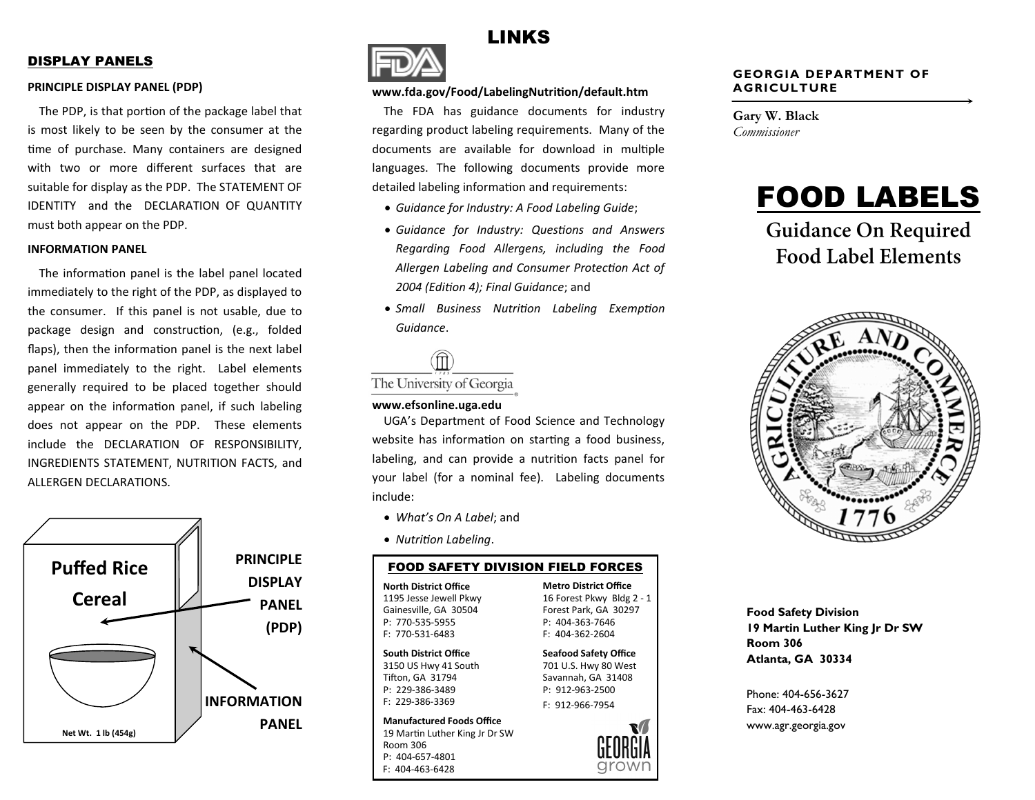#### DISPLAY PANELS

#### **PRINCIPLE DISPLAY PANEL (PDP)**

The PDP, is that portion of the package label that is most likely to be seen by the consumer at the time of purchase. Many containers are designed with two or more different surfaces that are suitable for display as the PDP. The STATEMENT OF IDENTITY and the DECLARATION OF QUANTITY must both appear on the PDP.

#### **INFORMATION PANEL**

The information panel is the label panel located immediately to the right of the PDP, as displayed to the consumer. If this panel is not usable, due to package design and construction, (e.g., folded flaps), then the information panel is the next label panel immediately to the right. Label elements generally required to be placed together should appear on the information panel, if such labeling does not appear on the PDP. These elements include the DECLARATION OF RESPONSIBILITY, INGREDIENTS STATEMENT, NUTRITION FACTS, and ALLERGEN DECLARATIONS.





#### **www.fda.gov/Food/LabelingNutrition/default.htm**

The FDA has guidance documents for industry regarding product labeling requirements. Many of the documents are available for download in multiple languages. The following documents provide more detailed labeling information and requirements:

LINKS

- *Guidance for Industry: A Food Labeling Guide*;
- *Guidance for Industry: Questions and Answers Regarding Food Allergens, including the Food Allergen Labeling and Consumer Protection Act of 2004 (Edition 4); Final Guidance*; and
- *Small Business Nutrition Labeling Exemption Guidance*.



#### **www.efsonline.uga.edu**

UGA's Department of Food Science and Technology website has information on starting a food business, labeling, and can provide a nutrition facts panel for your label (for a nominal fee). Labeling documents include:

- *What's On A Label*; and
- *Nutrition Labeling*.

#### FOOD SAFETY DIVISION FIELD FORCES

**North District Office** 1195 Jesse Jewell Pkwy Gainesville, GA 30504 P: 770-535-5955 F: 770-531-6483

#### **South District Office**

3150 US Hwy 41 South Tifton, GA 31794 P: 229-386-3489 F: 229-386-3369

19 Martin Luther King Jr Dr SW **Manufactured Foods Office** Room 306 P: 404-657-4801 F: 404-463-6428

**Metro District Office** 16 Forest Pkwy Bldg 2 - 1 Forest Park, GA 30297 P: 404-363-7646 F: 404-362-2604

**Seafood Safety Office** 701 U.S. Hwy 80 West Savannah, GA 31408 P: 912-963-2500 F: 912-966-7954



**Gary W. Black** *Commissioner*



**Guidance On Required Food Label Elements** 



**Food Safety Division 19 Martin Luther King Jr Dr SW Room 306 Atlanta, GA 30334** 

Phone: 404-656-3627 Fax: 404-463-6428 www.agr.georgia.gov